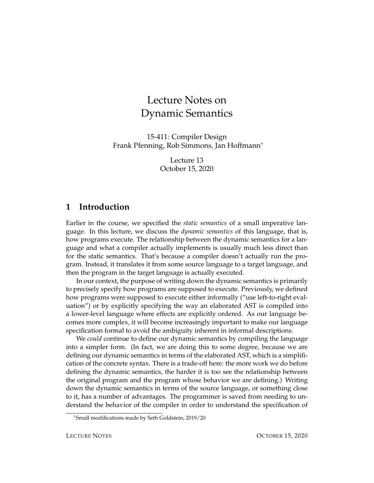# Lecture Notes on Dynamic Semantics

15-411: Compiler Design Frank Pfenning, Rob Simmons, Jan Hoffmann<sup>∗</sup>

> Lecture 13 October 15, 2020

### **1 Introduction**

Earlier in the course, we specified the *static semantics* of a small imperative language. In this lecture, we discuss the *dynamic semantics* of this language, that is, how programs execute. The relationship between the dynamic semantics for a language and what a compiler actually implements is usually much less direct than for the static semantics. That's because a compiler doesn't actually run the program. Instead, it translates it from some source language to a target language, and then the program in the target language is actually executed.

In our context, the purpose of writing down the dynamic semantics is primarily to precisely specify how programs are supposed to execute. Previously, we defined how programs were supposed to execute either informally ("use left-to-right evaluation") or by explicitly specifying the way an elaborated AST is compiled into a lower-level language where effects are explicitly ordered. As our language becomes more complex, it will become increasingly important to make our language specification formal to avoid the ambiguity inherent in informal descriptions.

We *could* continue to define our dynamic semantics by compiling the language into a simpler form. (In fact, we are doing this to some degree, because we are defining our dynamic semantics in terms of the elaborated AST, which is a simplification of the concrete syntax. There is a trade-off here: the more work we do before defining the dynamic semantics, the harder it is too see the relationship between the original program and the program whose behavior we are defining.) Writing down the dynamic semantics in terms of the source language, or something close to it, has a number of advantages. The programmer is saved from needing to understand the behavior of the compiler in order to understand the specification of

<sup>∗</sup> Small modifications made by Seth Goldstein, 2019/20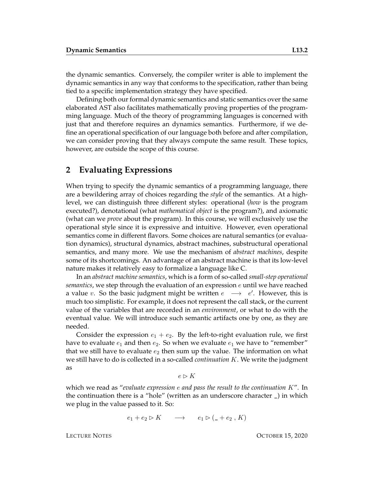the dynamic semantics. Conversely, the compiler writer is able to implement the dynamic semantics in any way that conforms to the specification, rather than being tied to a specific implementation strategy they have specified.

Defining both our formal dynamic semantics and static semantics over the same elaborated AST also facilitates mathematically proving properties of the programming language. Much of the theory of programming languages is concerned with just that and therefore requires an dynamics semantics. Furthermore, if we define an operational specification of our language both before and after compilation, we can consider proving that they always compute the same result. These topics, however, are outside the scope of this course.

#### **2 Evaluating Expressions**

When trying to specify the dynamic semantics of a programming language, there are a bewildering array of choices regarding the *style* of the semantics. At a highlevel, we can distinguish three different styles: operational (*how* is the program executed?), denotational (what *mathematical object* is the program?), and axiomatic (what can we *prove* about the program). In this course, we will exclusively use the operational style since it is expressive and intuitive. However, even operational semantics come in different flavors. Some choices are natural semantics (or evaluation dynamics), structural dynamics, abstract machines, substructural operational semantics, and many more. We use the mechanism of *abstract machines*, despite some of its shortcomings. An advantage of an abstract machine is that its low-level nature makes it relatively easy to formalize a language like C.

In an *abstract machine semantics*, which is a form of so-called *small-step operational semantics*, we step through the evaluation of an expression e until we have reached a value v. So the basic judgment might be written  $e \rightarrow e'$ . However, this is much too simplistic. For example, it does not represent the call stack, or the current value of the variables that are recorded in an *environment*, or what to do with the eventual value. We will introduce such semantic artifacts one by one, as they are needed.

Consider the expression  $e_1 + e_2$ . By the left-to-right evaluation rule, we first have to evaluate  $e_1$  and then  $e_2$ . So when we evaluate  $e_1$  we have to "remember" that we still have to evaluate  $e_2$  then sum up the value. The information on what we still have to do is collected in a so-called *continuation* K. We write the judgment as

 $e \triangleright K$ 

which we read as "*evaluate expression* e *and pass the result to the continuation* K". In the continuation there is a "hole" (written as an underscore character \_) in which we plug in the value passed to it. So:

$$
e_1 + e_2 \triangleright K \qquad \longrightarrow \qquad e_1 \triangleright (\_ + e_2 \, , K)
$$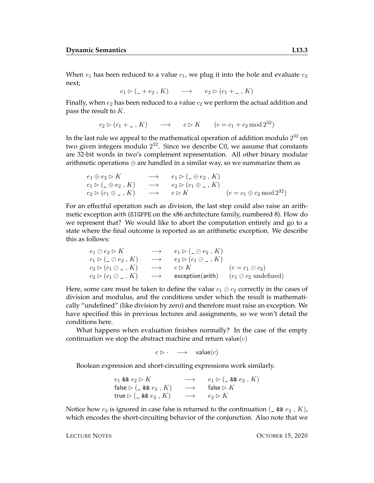When  $e_1$  has been reduced to a value  $c_1$ , we plug it into the hole and evaluate  $e_2$ next;

 $c_1 \triangleright (\_ + e_2, K) \longrightarrow e_2 \triangleright (c_1 + \_ , K)$ 

Finally, when  $e_2$  has been reduced to a value  $c_2$  we perform the actual addition and pass the result to  $K$ .

 $c_2 \triangleright (c_1 + \ldots + K) \longrightarrow c \triangleright K \qquad (c = c_1 + c_2 \mod 2^{32})$ 

In the last rule we appeal to the mathematical operation of addition modulo  $2^{32}$  on two given integers modulo  $2^{32}$ . Since we describe C0, we assume that constants are 32-bit words in two's complement representation. All other binary modular arithmetic operations ⊕ are handled in a similar way, so we summarize them as

$$
e_1 \oplus e_2 \triangleright K \longrightarrow e_1 \triangleright (\_ \oplus e_2, K)
$$
  
\n
$$
c_1 \triangleright (\_ \oplus e_2, K) \longrightarrow e_2 \triangleright (c_1 \oplus \_ , K)
$$
  
\n
$$
c_2 \triangleright (c_1 \oplus \_ , K) \longrightarrow c \triangleright K \qquad (c = c_1 \oplus c_2 \mod 2^{32})
$$

For an effectful operation such as division, the last step could also raise an arithmetic exception arith (SIGFPE on the x86 architecture family, numbered 8). How do we represent that? We would like to abort the computation entirely and go to a state where the final outcome is reported as an arithmetic exception. We describe this as follows:

e<sup>1</sup> e<sup>2</sup> B K −→ e<sup>1</sup> B (\_ e<sup>2</sup> , K) c<sup>1</sup> B (\_ e<sup>2</sup> , K) −→ e<sup>2</sup> B (c<sup>1</sup> \_ , K) c<sup>2</sup> B (c<sup>1</sup> \_ , K) −→ c B K (c = c<sup>1</sup> c2) c<sup>2</sup> B (c<sup>1</sup> \_ , K) −→ exception(arith) (c<sup>1</sup> c<sup>2</sup> undefined)

Here, some care must be taken to define the value  $c_1 \oslash c_2$  correctly in the cases of division and modulus, and the conditions under which the result is mathematically "undefined" (like division by zero) and therefore must raise an exception. We have specified this in previous lectures and assignments, so we won't detail the conditions here.

What happens when evaluation finishes normally? In the case of the empty continuation we stop the abstract machine and return value $(c)$ 

$$
c \triangleright \cdot \quad \longrightarrow \quad \text{value}(c)
$$

Boolean expression and short-circuiting expressions work similarly.

 $e_1$  &&  $e_2 \triangleright K$   $\longrightarrow$   $e_1 \triangleright (\_ \& e_2, K)$ false  $\triangleright$  (\_ && e<sub>2</sub>, K)  $\longrightarrow$  false  $\triangleright$  K true  $\triangleright$  (\_ &&  $e_2$  , K)  $\longrightarrow$   $e_2 \triangleright K$ 

Notice how  $e_2$  is ignored in case false is returned to the continuation ( $\angle$  &&  $e_2$ ,  $K$ ), which encodes the short-circuiting behavior of the conjunction. Also note that we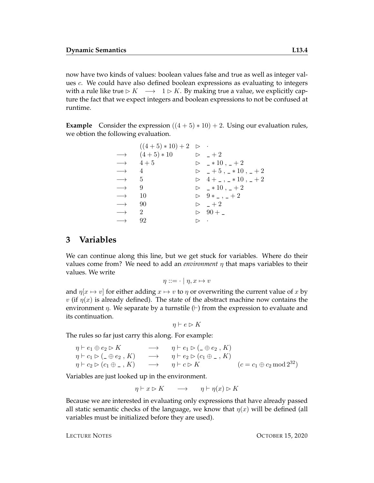now have two kinds of values: boolean values false and true as well as integer values c. We could have also defined boolean expressions as evaluating to integers with a rule like true  $\triangleright K \rightarrow 1 \triangleright K$ . By making true a value, we explicitly capture the fact that we expect integers and boolean expressions to not be confused at runtime.

**Example** Consider the expression  $((4 + 5) * 10) + 2$ . Using our evaluation rules, we obtion the following evaluation.

|                      | $((4+5)*10)+2$ $\triangleright$ $\cdot$ |                    |                                                            |
|----------------------|-----------------------------------------|--------------------|------------------------------------------------------------|
|                      | $\longrightarrow$ $(4+5)*10$            |                    | $\triangleright$ $-+2$                                     |
|                      | $\longrightarrow$ 4+5                   |                    | $\triangleright$ $\_ *10$ , $\_ +2$                        |
| $\longrightarrow$ 4  |                                         |                    | $\triangleright$ $-+5$ , $-*10$ , $-+2$                    |
| $\longrightarrow$ 5  |                                         |                    | $\triangleright$ 4+_,_*10,_+2                              |
| $\longrightarrow$ 9  |                                         |                    | $\triangleright$ $\longrightarrow$ 10, $\longleftarrow$ +2 |
| $\longrightarrow$    | -10                                     |                    | $\triangleright$ 9 * _ , _ + 2                             |
| $\longrightarrow$ 90 |                                         |                    | $\triangleright$ +2                                        |
| $\longrightarrow$ 2  |                                         |                    | $\triangleright$ 90 +                                      |
| $\longrightarrow$    | 92                                      | $\triangleright$ . |                                                            |

### **3 Variables**

We can continue along this line, but we get stuck for variables. Where do their values come from? We need to add an *environment*  $\eta$  that maps variables to their values. We write

$$
\eta ::= \cdot \mid \eta, x \mapsto v
$$

and  $\eta[x \mapsto v]$  for either adding  $x \mapsto v$  to  $\eta$  or overwriting the current value of x by v (if  $\eta(x)$  is already defined). The state of the abstract machine now contains the environment  $\eta$ . We separate by a turnstile ( $\vdash$ ) from the expression to evaluate and its continuation.

$$
\eta \vdash e \rhd K
$$

The rules so far just carry this along. For example:

 $\eta \vdash e_1 \oplus e_2 \rhd K \longrightarrow \eta \vdash e_1 \rhd (\_ \oplus e_2 , K)$  $\eta \vdash c_1 \rhd (\_ \oplus e_2, K) \longrightarrow \eta \vdash e_2 \rhd (c_1 \oplus \_ , K)$  $\eta \vdash c_2 \rhd (c_1 \oplus \_ , K) \longrightarrow \eta \vdash c \rhd K$  (c = c<sub>1</sub>  $\oplus$  c<sub>2</sub> mod 2<sup>32</sup>)

Variables are just looked up in the environment.

$$
\eta \vdash x \rhd K \qquad \longrightarrow \qquad \eta \vdash \eta(x) \rhd K
$$

Because we are interested in evaluating only expressions that have already passed all static semantic checks of the language, we know that  $\eta(x)$  will be defined (all variables must be initialized before they are used).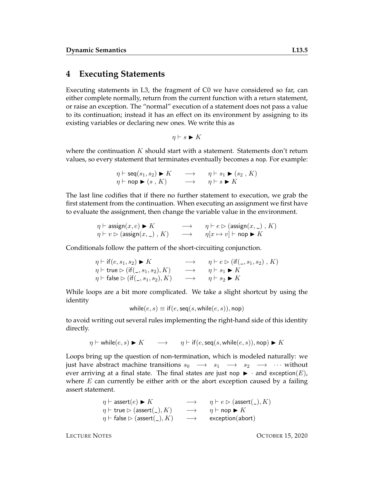## **4 Executing Statements**

Executing statements in L3, the fragment of C0 we have considered so far, can either complete normally, return from the current function with a return statement, or raise an exception. The "normal" execution of a statement does not pass a value to its continuation; instead it has an effect on its environment by assigning to its existing variables or declaring new ones. We write this as

$$
\eta \vdash s \blacktriangleright K
$$

where the continuation  $K$  should start with a statement. Statements don't return values, so every statement that terminates eventually becomes a nop. For example:

$$
\eta \vdash \text{seq}(s_1, s_2) \blacktriangleright K \longrightarrow \eta \vdash s_1 \blacktriangleright (s_2, K)
$$
  

$$
\eta \vdash \text{nop} \blacktriangleright (s, K) \longrightarrow \eta \vdash s \blacktriangleright K
$$

The last line codifies that if there no further statement to execution, we grab the first statement from the continuation. When executing an assignment we first have to evaluate the assignment, then change the variable value in the environment.

$$
\begin{array}{ccc}\n\eta \vdash \mathsf{assign}(x, e) \blacktriangleright K & \longrightarrow & \eta \vdash e \rhd (\mathsf{assign}(x, \_) \, , K) \\
\eta \vdash v \rhd (\mathsf{assign}(x, \_) \, , K) & \longrightarrow & \eta[x \mapsto v] \vdash \mathsf{nop} \blacktriangleright K\n\end{array}
$$

Conditionals follow the pattern of the short-circuiting conjunction.

$$
\eta \vdash \text{if } (e, s_1, s_2) \blacktriangleright K \longrightarrow \eta \vdash e \triangleright (\text{if } (\_, s_1, s_2), K) \gamma \vdash \text{true} \triangleright (\text{if } (\_, s_1, s_2), K) \longrightarrow \eta \vdash s_1 \blacktriangleright K \eta \vdash \text{false} \triangleright (\text{if } (\_, s_1, s_2), K) \longrightarrow \eta \vdash s_2 \blacktriangleright K
$$

While loops are a bit more complicated. We take a slight shortcut by using the identity

while
$$
(e, s) \equiv \text{if}(e, \text{seq}(s, \text{while}(e, s)), \text{nop})
$$

to avoid writing out several rules implementing the right-hand side of this identity directly.

$$
\eta \vdash \text{while}(e, s) \blacktriangleright K \qquad \longrightarrow \qquad \eta \vdash \text{if}(e, \text{seq}(s, \text{while}(e, s)), \text{nop}) \blacktriangleright K
$$

Loops bring up the question of non-termination, which is modeled naturally: we just have abstract machine transitions  $s_0 \rightarrow s_1 \rightarrow s_2 \rightarrow \cdots$  without ever arriving at a final state. The final states are just nop  $\blacktriangleright$  · and exception(E), where  $E$  can currently be either arith or the abort exception caused by a failing assert statement.

$$
\eta \vdash \text{assert}(e) \blacktriangleright K \longrightarrow \eta \vdash e \triangleright (\text{assert}(\_) , K) \eta \vdash \text{true} \triangleright (\text{assert}(\_) , K) \longrightarrow \eta \vdash \text{nop} \blacktriangleright K \eta \vdash \text{false} \triangleright (\text{assert}(\_) , K) \longrightarrow \text{exception}(\text{abort})
$$

LECTURE NOTES OCTOBER 15, 2020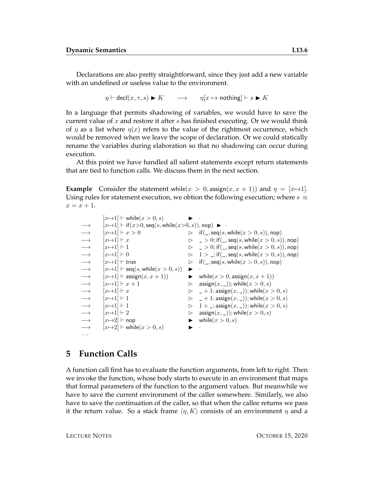Declarations are also pretty straightforward, since they just add a new variable with an undefined or useless value to the environment.

 $\eta \vdash \text{decl}(x, \tau, s) \blacktriangleright K \longrightarrow \eta[x \mapsto \text{nothing} \mid x \models s \blacktriangleright K$ 

In a language that permits shadowing of variables, we would have to save the current value of  $x$  and restore it after  $s$  has finished executing. Or we would think of  $\eta$  as a list where  $\eta(x)$  refers to the value of the rightmost occurrence, which would be removed when we leave the scope of declaration. Or we could statically rename the variables during elaboration so that no shadowing can occur during execution.

At this point we have handled all salient statements except return statements that are tied to function calls. We discuss them in the next section.

**Example** Consider the statement while( $x > 0$ , assign( $x, x + 1$ )) and  $\eta = [x \mapsto 1]$ . Using rules for statement execution, we obtion the following execution; where  $s \equiv$  $x = x + 1$ .

```
[x \mapsto 1] \vdash \text{while}(x > 0, s) \longrightarrow[x \mapsto 1] \vdash \text{if } (x > 0, \text{seq}(s, \text{while}(x > 0, s)), \text{nop}) \blacktriangleright→ [x\rightarrow 1] \vdash x > 0<br>
\rightarrow [x\rightarrow 1] \vdash x<br>
\rightarrow [x\rightarrow 1] \vdash 0<br>
\rightarrow [x\rightarrow 1] \vdash 0<br>
\rightarrow [x\rightarrow 1] \vdash 0<br>
\rightarrow [x\rightarrow 1] \vdash 0<br>
\rightarrow [x\rightarrow 1] \vdash 0<br>
\rightarrow [x\rightarrow 1] \vdash 0<br>
\rightarrow [x\rightarrow 1] \vdash 0<br>
\rightarrow [x\rightarrow 1] \vdash x<br>
\rightarrow [x\rightarrow 1] \vdash x<br>
\rightarrow [x\rightarrow 1] \vdash x<br>
\rightarrow [x\rightarrow[x \mapsto 1] \vdash x \triangleright \square > 0; if (\square, \text{seq}(s, \text{while}(x > 0, s)), \text{nop})[x \mapsto 1] \vdash 1 \qquad \qquad \qquad \triangleright \qquad 2 > 0; if (\square, \text{seq}(s, \text{while}(x > 0, s)), \text{nop})[x \mapsto 1] \vdash 0 \Rightarrow 1 > \frac{1}{2}; if(_, seq(s, while(x > 0, s)), nop)
                [x \mapsto 1] \vdash true \Rightarrow if(\_,seq(s, \text{while}(x > 0, s)), \text{nop})[x \mapsto 1] \vdash \mathsf{seq}(s, \mathsf{while}(x > 0, s)) \quad \blacktriangleright|x \mapsto 1| \vdash assign(x, x + 1) \qquad \qquad \blacktriangleright while(x > 0, \text{assign}(x, x + 1))[x \mapsto 1] \vdash x + 1 \triangleright assign(x, \_)); while(x > 0, s)[x \mapsto 1] \vdash x \triangleright \_ + 1; \text{assign}(x, \_)); while(x > 0, s)[x \mapsto 1] \vdash 1 \qquad \qquad \qquad \triangleright \quad \_ + 1; \text{assign}(x, \_)); while(x > 0, s)[x \mapsto 1] \vdash 1 \Rightarrow 1 + \square; assign(x, \square); while(x > 0, s)[x \mapsto 1] \vdash 2 \qquad \qquad \triangleright \quad \text{assign}(x, \_)); while(x > 0, s)[x \mapsto 2] \vdash nop \blacktriangleright while(x > 0, s)[x \mapsto 2] \vdash \text{while}(x > 0, s) \blacktriangleright· · ·
```
#### **5 Function Calls**

A function call first has to evaluate the function arguments, from left to right. Then we invoke the function, whose body starts to execute in an environment that maps that formal parameters of the function to the argument values. But meanwhile we have to save the current environment of the caller somewhere. Similarly, we also have to save the continuation of the caller, so that when the callee returns we pass it the return value. So a stack frame  $\langle \eta, K \rangle$  consists of an environment  $\eta$  and a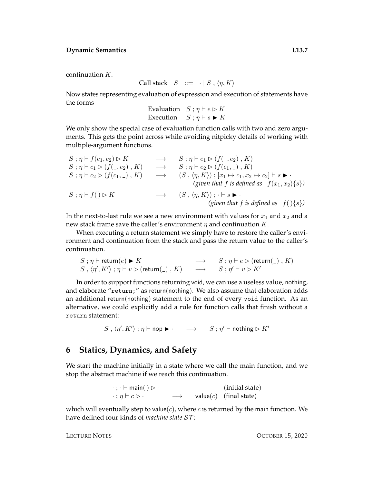continuation K.

Call stack  $S ::= \cdot | S, \langle \eta, K \rangle$ 

Now states representing evaluation of expression and execution of statements have the forms

Evaluation  $S : \eta \vdash e \triangleright K$ Execution  $S : \eta \vdash s \blacktriangleright K$ 

We only show the special case of evaluation function calls with two and zero arguments. This gets the point across while avoiding nitpicky details of working with multiple-argument functions.

S ; η ` f(e1, e2) B K −→ S ; η ` e<sup>1</sup> B (f(\_, e2) , K) S ; η ` c<sup>1</sup> B (f(\_, e2) , K) −→ S ; η ` e<sup>2</sup> B (f(c1, \_) , K) S ; η ` c<sup>2</sup> B (f(c1, \_) , K) −→ (S , hη, Ki) ; [x<sup>1</sup> 7→ c1, x<sup>2</sup> 7→ c2] ` s I · *(given that* f *is defined as* f(x1, x2){s}*)* S ; η ` f( ) B K −→ (S , hη, Ki) ; · ` s I · *(given that* f *is defined as* f( ){s}*)*

In the next-to-last rule we see a new environment with values for  $x_1$  and  $x_2$  and a new stack frame save the caller's environment  $\eta$  and continuation  $K$ .

When executing a return statement we simply have to restore the caller's environment and continuation from the stack and pass the return value to the caller's continuation.

$$
S; \eta \vdash \text{return}(e) \blacktriangleright K \longrightarrow S; \eta \vdash e \triangleright (\text{return}(\_), K)
$$
  

$$
S, \langle \eta', K' \rangle; \eta \vdash v \triangleright (\text{return}(\_), K) \longrightarrow S; \eta' \vdash v \triangleright K'
$$

In order to support functions returning void, we can use a useless value, nothing, and elaborate "return;" as return(nothing). We also assume that elaboration adds an additional return(nothing) statement to the end of every void function. As an alternative, we could explicitly add a rule for function calls that finish without a return statement:

 $S, \langle \eta', K' \rangle; \eta \vdash \mathsf{nop} \blacktriangleright \cdot \quad \longrightarrow \quad S; \eta' \vdash \mathsf{nothing}$  is  $K'$ 

### **6 Statics, Dynamics, and Safety**

We start the machine initially in a state where we call the main function, and we stop the abstract machine if we reach this continuation.

$$
\cdot ; \cdot \vdash \text{main}() \rhd \cdot \qquad \qquad (\text{initial state})
$$
\n
$$
\cdot ; \eta \vdash c \rhd \cdot \qquad \longrightarrow \qquad \text{value}(c) \quad (\text{final state})
$$

which will eventually step to value( $c$ ), where  $c$  is returned by the main function. We have defined four kinds of *machine state* ST :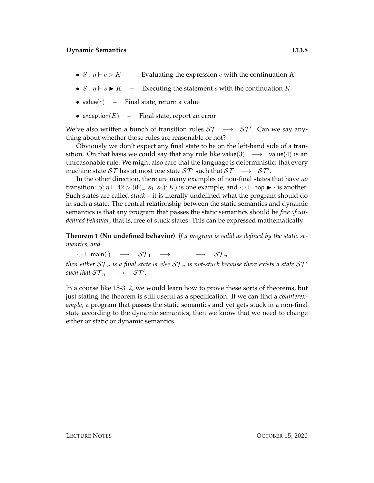- $S : \eta \vdash e \triangleright K$  Evaluating the expression e with the continuation K
- $S : \eta \vdash s \blacktriangleright K$  Executing the statement s with the continuation K
- value $(c)$  Final state, return a value
- exception $(E)$  Final state, report an error

We've also written a bunch of transition rules  $ST \rightarrow ST'$ . Can we say anything about whether those rules are reasonable or not?

Obviously we don't expect any final state to be on the left-hand side of a transition. On that basis we could say that any rule like value(3)  $\rightarrow$  value(4) is an unreasonable rule. We might also care that the language is deterministic: that every machine state  $ST$  has at most one state  $ST'$  such that  $ST \rightarrow ST'.$ 

In the other direction, there are many examples of non-final states that have *no* transition:  $S; \eta \vdash 42 \rhd (if(\_, s_1, s_2); K)$  is one example, and  $\cdot; \cdot \vdash$  nop  $\blacktriangleright \cdot$  is another. Such states are called *stuck* – it is literally undefined what the program should do in such a state. The central relationship between the static semantics and dynamic semantics is that any program that passes the static semantics should be *free of undefined behavior*, that is, free of stuck states. This can be expressed mathematically:

**Theorem 1 (No undefined behavior)** *If a program is valid as defined by the static semantics, and*

 $\cdot; \cdot \vdash \textsf{main}() \rightarrow \mathcal{ST}_1 \rightarrow \dots \rightarrow \mathcal{ST}_n$ *then either*  $ST_n$  *is a final state or else*  $ST_n$  *is not-stuck because there exists a state*  $ST'$  $\mathit{such that} \; \mathcal{ST}_n \quad \longrightarrow \quad \mathcal{ST}'.$ 

In a course like 15-312, we would learn how to prove these sorts of theorems, but just stating the theorem is still useful as a specification. If we can find a *counterexample*, a program that passes the static semantics and yet gets stuck in a non-final state according to the dynamic semantics, then we know that we need to change either or static or dynamic semantics.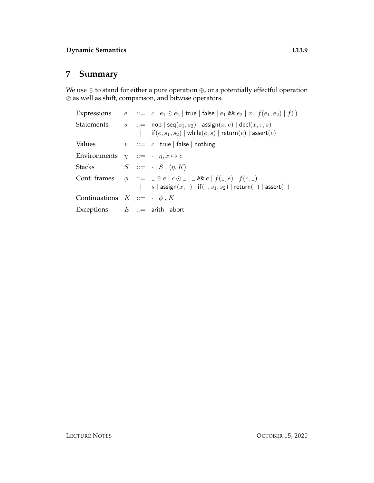# **7 Summary**

We use  $\odot$  to stand for either a pure operation  $\oplus$ , or a potentially effectful operation  $\oslash$  as well as shift, comparison, and bitwise operators.

|                                                          |  | Expressions $e ::= c   e_1 \odot e_2  $ true   false $  e_1 \& e_2   x   f(e_1, e_2)   f()$                                                                                                                |
|----------------------------------------------------------|--|------------------------------------------------------------------------------------------------------------------------------------------------------------------------------------------------------------|
|                                                          |  | Statements $s ::= \text{nop}   \text{seq}(s_1, s_2)   \text{assign}(x, e)   \text{ decl}(x, \tau, s)$<br>$\textsf{if}(e,s_1,s_2) \mid \textsf{while}(e,s) \mid \textsf{return}(e) \mid \textsf{assert}(e)$ |
| Values                                                   |  | $v$ : $=$ $c$   true   false   nothing                                                                                                                                                                     |
| Environments $\eta$ ::= $\cdot$   $\eta$ , $x \mapsto c$ |  |                                                                                                                                                                                                            |
| Stacks $S ::= \cdot   S, \langle \eta, K \rangle$        |  |                                                                                                                                                                                                            |
|                                                          |  | Cont. frames $\phi$ ::= $\Box \odot e \mid c \odot \Box \vdash \& e \mid f(\Box, e) \mid f(c, \Box)$<br>  $s \mid$ assign $(x, \_) \mid$ if $(\_, s_1, s_2) \mid$ return $(\_) \mid$ assert $(\_)$         |
| Continuations $K ::= \cdot   \phi, K$                    |  |                                                                                                                                                                                                            |
| Exceptions $E ::=$ arith abort                           |  |                                                                                                                                                                                                            |
|                                                          |  |                                                                                                                                                                                                            |